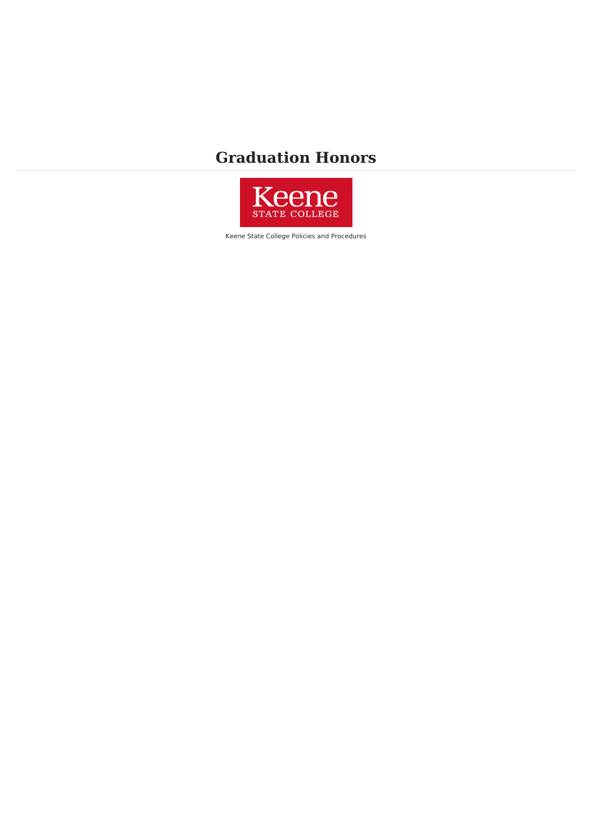## **Graduation Honors**



Keene State College Policies and Procedures